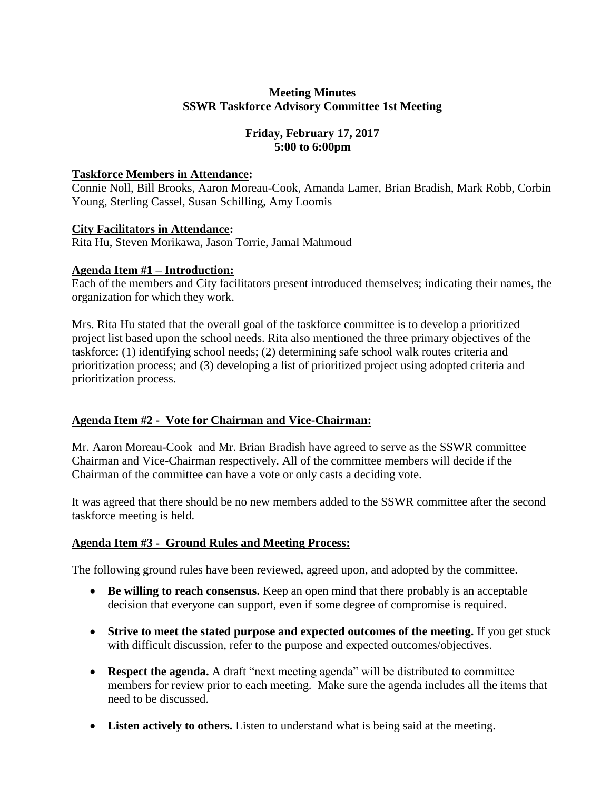### **Meeting Minutes SSWR Taskforce Advisory Committee 1st Meeting**

# **Friday, February 17, 2017 5:00 to 6:00pm**

### **Taskforce Members in Attendance:**

Connie Noll, Bill Brooks, Aaron Moreau-Cook, Amanda Lamer, Brian Bradish, Mark Robb, Corbin Young, Sterling Cassel, Susan Schilling, Amy Loomis

### **City Facilitators in Attendance:**

Rita Hu, Steven Morikawa, Jason Torrie, Jamal Mahmoud

### **Agenda Item #1 – Introduction:**

Each of the members and City facilitators present introduced themselves; indicating their names, the organization for which they work.

Mrs. Rita Hu stated that the overall goal of the taskforce committee is to develop a prioritized project list based upon the school needs. Rita also mentioned the three primary objectives of the taskforce: (1) identifying school needs; (2) determining safe school walk routes criteria and prioritization process; and (3) developing a list of prioritized project using adopted criteria and prioritization process.

# **Agenda Item #2 - Vote for Chairman and Vice-Chairman:**

Mr. Aaron Moreau-Cook and Mr. Brian Bradish have agreed to serve as the SSWR committee Chairman and Vice-Chairman respectively. All of the committee members will decide if the Chairman of the committee can have a vote or only casts a deciding vote.

It was agreed that there should be no new members added to the SSWR committee after the second taskforce meeting is held.

# **Agenda Item #3 - Ground Rules and Meeting Process:**

The following ground rules have been reviewed, agreed upon, and adopted by the committee.

- **Be willing to reach consensus.** Keep an open mind that there probably is an acceptable decision that everyone can support, even if some degree of compromise is required.
- **Strive to meet the stated purpose and expected outcomes of the meeting.** If you get stuck with difficult discussion, refer to the purpose and expected outcomes/objectives.
- **Respect the agenda.** A draft "next meeting agenda" will be distributed to committee members for review prior to each meeting. Make sure the agenda includes all the items that need to be discussed.
- **Listen actively to others.** Listen to understand what is being said at the meeting.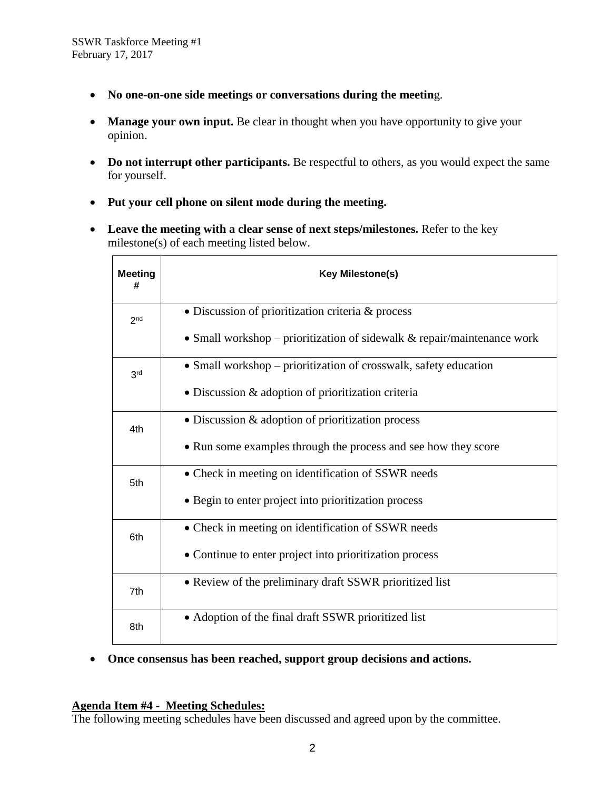- **No one-on-one side meetings or conversations during the meetin**g.
- Manage your own input. Be clear in thought when you have opportunity to give your opinion.
- Do not interrupt other participants. Be respectful to others, as you would expect the same for yourself.
- **Put your cell phone on silent mode during the meeting.**
- **Leave the meeting with a clear sense of next steps/milestones.** Refer to the key milestone(s) of each meeting listed below.

| <b>Meeting</b><br># | <b>Key Milestone(s)</b>                                                    |
|---------------------|----------------------------------------------------------------------------|
| 2 <sub>nd</sub>     | • Discussion of prioritization criteria & process                          |
|                     | • Small workshop – prioritization of sidewalk $\&$ repair/maintenance work |
| 3 <sup>rd</sup>     | • Small workshop - prioritization of crosswalk, safety education           |
|                     | • Discussion & adoption of prioritization criteria                         |
| 4th                 | • Discussion & adoption of prioritization process                          |
|                     | • Run some examples through the process and see how they score             |
| 5th                 | • Check in meeting on identification of SSWR needs                         |
|                     | • Begin to enter project into prioritization process                       |
| 6th                 | • Check in meeting on identification of SSWR needs                         |
|                     | • Continue to enter project into prioritization process                    |
| 7th                 | • Review of the preliminary draft SSWR prioritized list                    |
| 8th                 | • Adoption of the final draft SSWR prioritized list                        |

**Once consensus has been reached, support group decisions and actions.**

#### **Agenda Item #4 - Meeting Schedules:**

The following meeting schedules have been discussed and agreed upon by the committee.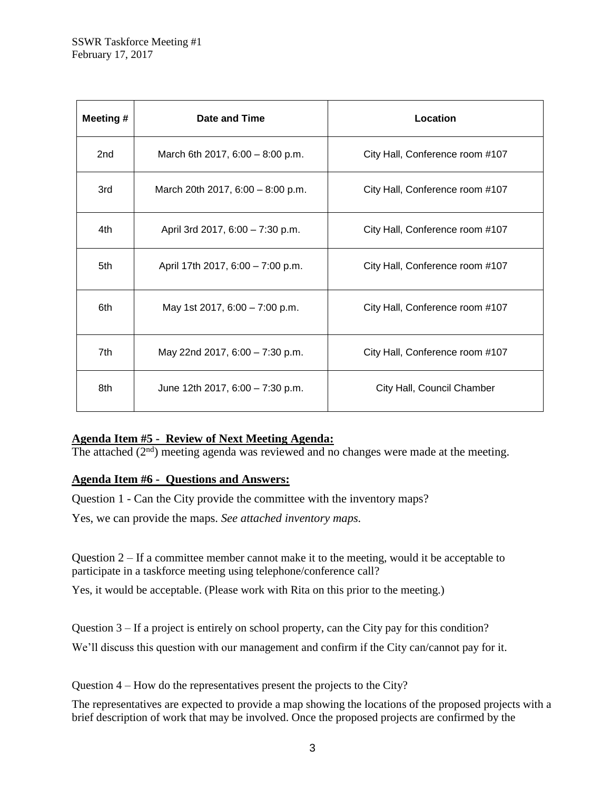| Meeting # | Date and Time                      | Location                        |
|-----------|------------------------------------|---------------------------------|
| 2nd       | March 6th 2017, $6:00 - 8:00$ p.m. | City Hall, Conference room #107 |
| 3rd       | March 20th 2017, 6:00 - 8:00 p.m.  | City Hall, Conference room #107 |
| 4th       | April 3rd 2017, 6:00 - 7:30 p.m.   | City Hall, Conference room #107 |
| 5th       | April 17th 2017, 6:00 - 7:00 p.m.  | City Hall, Conference room #107 |
| 6th       | May 1st 2017, 6:00 - 7:00 p.m.     | City Hall, Conference room #107 |
| 7th       | May 22nd 2017, 6:00 - 7:30 p.m.    | City Hall, Conference room #107 |
| 8th       | June 12th 2017, 6:00 - 7:30 p.m.   | City Hall, Council Chamber      |

# **Agenda Item #5 - Review of Next Meeting Agenda:**

The attached  $(2<sup>nd</sup>)$  meeting agenda was reviewed and no changes were made at the meeting.

#### **Agenda Item #6 - Questions and Answers:**

Question 1 - Can the City provide the committee with the inventory maps?

Yes, we can provide the maps. *See attached inventory maps.*

Question 2 – If a committee member cannot make it to the meeting, would it be acceptable to participate in a taskforce meeting using telephone/conference call?

Yes, it would be acceptable. (Please work with Rita on this prior to the meeting.)

Question  $3 - If a project is entirely on school property, can the City pay for this condition?$ 

We'll discuss this question with our management and confirm if the City can/cannot pay for it.

Question 4 – How do the representatives present the projects to the City?

The representatives are expected to provide a map showing the locations of the proposed projects with a brief description of work that may be involved. Once the proposed projects are confirmed by the